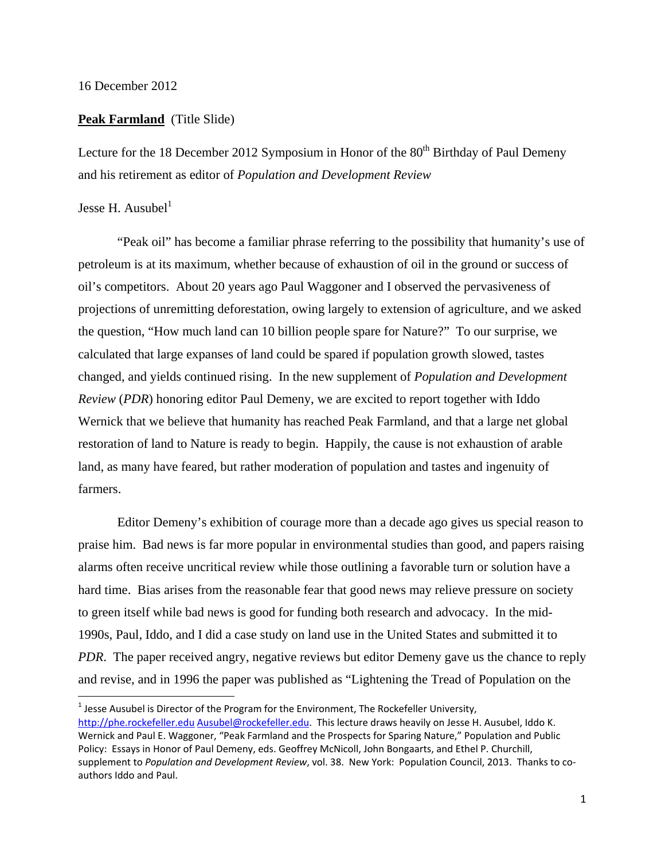## 16 December 2012

## **Peak Farmland** (Title Slide)

Lecture for the 18 December 2012 Symposium in Honor of the  $80<sup>th</sup>$  Birthday of Paul Demeny and his retirement as editor of *Population and Development Review*

## Jesse H. Ausubel $<sup>1</sup>$ </sup>

"Peak oil" has become a familiar phrase referring to the possibility that humanity's use of petroleum is at its maximum, whether because of exhaustion of oil in the ground or success of oil's competitors. About 20 years ago Paul Waggoner and I observed the pervasiveness of projections of unremitting deforestation, owing largely to extension of agriculture, and we asked the question, "How much land can 10 billion people spare for Nature?" To our surprise, we calculated that large expanses of land could be spared if population growth slowed, tastes changed, and yields continued rising. In the new supplement of *Population and Development Review* (*PDR*) honoring editor Paul Demeny, we are excited to report together with Iddo Wernick that we believe that humanity has reached Peak Farmland, and that a large net global restoration of land to Nature is ready to begin. Happily, the cause is not exhaustion of arable land, as many have feared, but rather moderation of population and tastes and ingenuity of farmers.

Editor Demeny's exhibition of courage more than a decade ago gives us special reason to praise him. Bad news is far more popular in environmental studies than good, and papers raising alarms often receive uncritical review while those outlining a favorable turn or solution have a hard time. Bias arises from the reasonable fear that good news may relieve pressure on society to green itself while bad news is good for funding both research and advocacy. In the mid-1990s, Paul, Iddo, and I did a case study on land use in the United States and submitted it to *PDR*. The paper received angry, negative reviews but editor Demeny gave us the chance to reply and revise, and in 1996 the paper was published as "Lightening the Tread of Population on the

 $<sup>1</sup>$  Jesse Ausubel is Director of the Program for the Environment, The Rockefeller University,</sup> http://phe.rockefeller.edu Ausubel@rockefeller.edu. This lecture draws heavily on Jesse H. Ausubel, Iddo K. Wernick and Paul E. Waggoner, "Peak Farmland and the Prospects for Sparing Nature," Population and Public Policy: Essays in Honor of Paul Demeny, eds. Geoffrey McNicoll, John Bongaarts, and Ethel P. Churchill, supplement to *Population and Development Review*, vol. 38. New York: Population Council, 2013. Thanks to co‐ authors Iddo and Paul.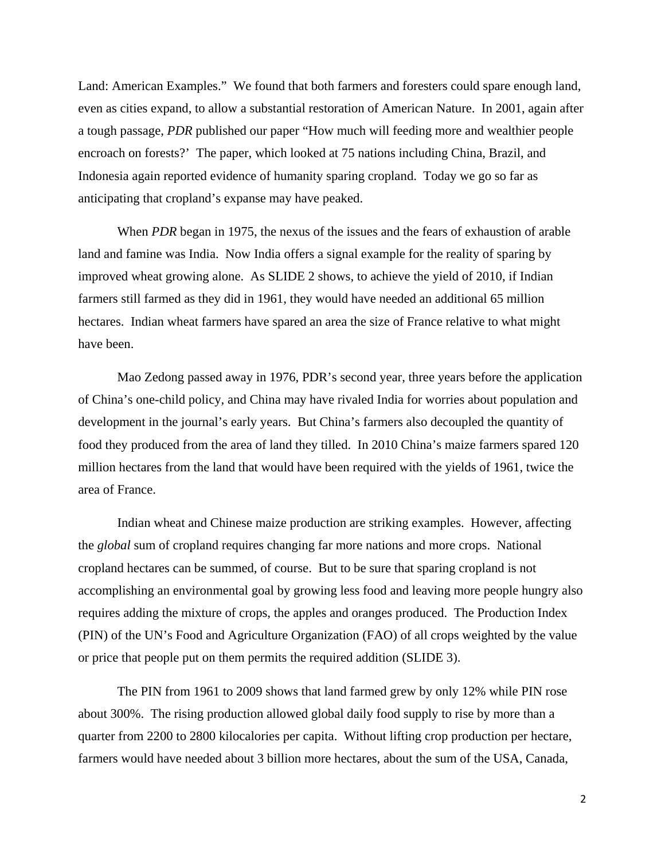Land: American Examples." We found that both farmers and foresters could spare enough land, even as cities expand, to allow a substantial restoration of American Nature. In 2001, again after a tough passage, *PDR* published our paper "How much will feeding more and wealthier people encroach on forests?' The paper, which looked at 75 nations including China, Brazil, and Indonesia again reported evidence of humanity sparing cropland. Today we go so far as anticipating that cropland's expanse may have peaked.

When *PDR* began in 1975, the nexus of the issues and the fears of exhaustion of arable land and famine was India. Now India offers a signal example for the reality of sparing by improved wheat growing alone. As SLIDE 2 shows, to achieve the yield of 2010, if Indian farmers still farmed as they did in 1961, they would have needed an additional 65 million hectares. Indian wheat farmers have spared an area the size of France relative to what might have been.

Mao Zedong passed away in 1976, PDR's second year, three years before the application of China's one-child policy, and China may have rivaled India for worries about population and development in the journal's early years. But China's farmers also decoupled the quantity of food they produced from the area of land they tilled. In 2010 China's maize farmers spared 120 million hectares from the land that would have been required with the yields of 1961, twice the area of France.

Indian wheat and Chinese maize production are striking examples. However, affecting the *global* sum of cropland requires changing far more nations and more crops. National cropland hectares can be summed, of course. But to be sure that sparing cropland is not accomplishing an environmental goal by growing less food and leaving more people hungry also requires adding the mixture of crops, the apples and oranges produced. The Production Index (PIN) of the UN's Food and Agriculture Organization (FAO) of all crops weighted by the value or price that people put on them permits the required addition (SLIDE 3).

The PIN from 1961 to 2009 shows that land farmed grew by only 12% while PIN rose about 300%. The rising production allowed global daily food supply to rise by more than a quarter from 2200 to 2800 kilocalories per capita. Without lifting crop production per hectare, farmers would have needed about 3 billion more hectares, about the sum of the USA, Canada,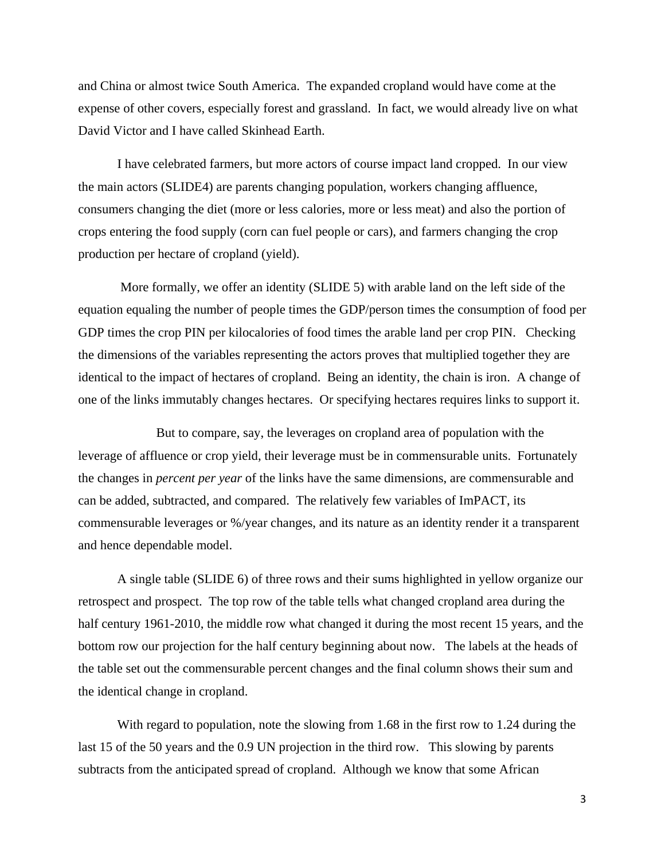and China or almost twice South America. The expanded cropland would have come at the expense of other covers, especially forest and grassland. In fact, we would already live on what David Victor and I have called Skinhead Earth.

I have celebrated farmers, but more actors of course impact land cropped. In our view the main actors (SLIDE4) are parents changing population, workers changing affluence, consumers changing the diet (more or less calories, more or less meat) and also the portion of crops entering the food supply (corn can fuel people or cars), and farmers changing the crop production per hectare of cropland (yield).

 More formally, we offer an identity (SLIDE 5) with arable land on the left side of the equation equaling the number of people times the GDP/person times the consumption of food per GDP times the crop PIN per kilocalories of food times the arable land per crop PIN. Checking the dimensions of the variables representing the actors proves that multiplied together they are identical to the impact of hectares of cropland. Being an identity, the chain is iron. A change of one of the links immutably changes hectares. Or specifying hectares requires links to support it.

 But to compare, say, the leverages on cropland area of population with the leverage of affluence or crop yield, their leverage must be in commensurable units. Fortunately the changes in *percent per year* of the links have the same dimensions, are commensurable and can be added, subtracted, and compared. The relatively few variables of ImPACT, its commensurable leverages or %/year changes, and its nature as an identity render it a transparent and hence dependable model.

A single table (SLIDE 6) of three rows and their sums highlighted in yellow organize our retrospect and prospect. The top row of the table tells what changed cropland area during the half century 1961-2010, the middle row what changed it during the most recent 15 years, and the bottom row our projection for the half century beginning about now. The labels at the heads of the table set out the commensurable percent changes and the final column shows their sum and the identical change in cropland.

With regard to population, note the slowing from 1.68 in the first row to 1.24 during the last 15 of the 50 years and the 0.9 UN projection in the third row. This slowing by parents subtracts from the anticipated spread of cropland. Although we know that some African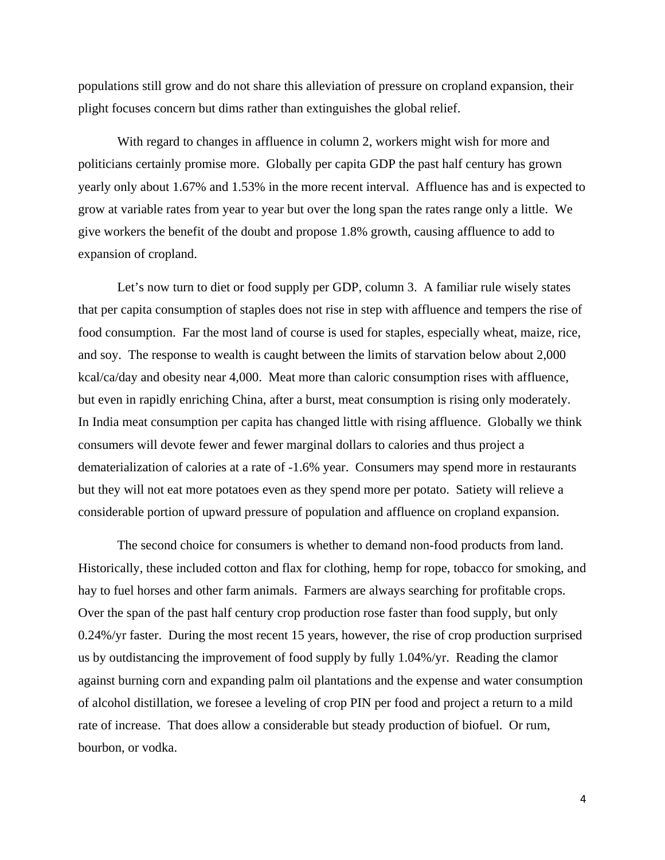populations still grow and do not share this alleviation of pressure on cropland expansion, their plight focuses concern but dims rather than extinguishes the global relief.

With regard to changes in affluence in column 2, workers might wish for more and politicians certainly promise more. Globally per capita GDP the past half century has grown yearly only about 1.67% and 1.53% in the more recent interval. Affluence has and is expected to grow at variable rates from year to year but over the long span the rates range only a little. We give workers the benefit of the doubt and propose 1.8% growth, causing affluence to add to expansion of cropland.

Let's now turn to diet or food supply per GDP, column 3. A familiar rule wisely states that per capita consumption of staples does not rise in step with affluence and tempers the rise of food consumption. Far the most land of course is used for staples, especially wheat, maize, rice, and soy. The response to wealth is caught between the limits of starvation below about 2,000 kcal/ca/day and obesity near 4,000. Meat more than caloric consumption rises with affluence, but even in rapidly enriching China, after a burst, meat consumption is rising only moderately. In India meat consumption per capita has changed little with rising affluence. Globally we think consumers will devote fewer and fewer marginal dollars to calories and thus project a dematerialization of calories at a rate of -1.6% year. Consumers may spend more in restaurants but they will not eat more potatoes even as they spend more per potato. Satiety will relieve a considerable portion of upward pressure of population and affluence on cropland expansion.

The second choice for consumers is whether to demand non-food products from land. Historically, these included cotton and flax for clothing, hemp for rope, tobacco for smoking, and hay to fuel horses and other farm animals. Farmers are always searching for profitable crops. Over the span of the past half century crop production rose faster than food supply, but only 0.24%/yr faster. During the most recent 15 years, however, the rise of crop production surprised us by outdistancing the improvement of food supply by fully 1.04%/yr. Reading the clamor against burning corn and expanding palm oil plantations and the expense and water consumption of alcohol distillation, we foresee a leveling of crop PIN per food and project a return to a mild rate of increase. That does allow a considerable but steady production of biofuel. Or rum, bourbon, or vodka.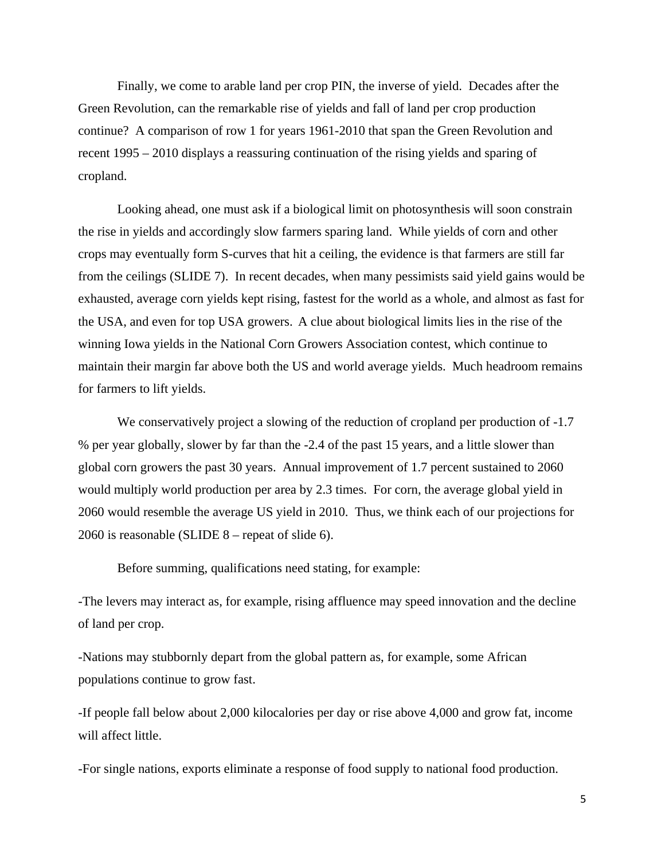Finally, we come to arable land per crop PIN, the inverse of yield. Decades after the Green Revolution, can the remarkable rise of yields and fall of land per crop production continue? A comparison of row 1 for years 1961-2010 that span the Green Revolution and recent 1995 – 2010 displays a reassuring continuation of the rising yields and sparing of cropland.

Looking ahead, one must ask if a biological limit on photosynthesis will soon constrain the rise in yields and accordingly slow farmers sparing land. While yields of corn and other crops may eventually form S-curves that hit a ceiling, the evidence is that farmers are still far from the ceilings (SLIDE 7). In recent decades, when many pessimists said yield gains would be exhausted, average corn yields kept rising, fastest for the world as a whole, and almost as fast for the USA, and even for top USA growers. A clue about biological limits lies in the rise of the winning Iowa yields in the National Corn Growers Association contest, which continue to maintain their margin far above both the US and world average yields. Much headroom remains for farmers to lift yields.

We conservatively project a slowing of the reduction of cropland per production of  $-1.7$ % per year globally, slower by far than the -2.4 of the past 15 years, and a little slower than global corn growers the past 30 years. Annual improvement of 1.7 percent sustained to 2060 would multiply world production per area by 2.3 times. For corn, the average global yield in 2060 would resemble the average US yield in 2010. Thus, we think each of our projections for 2060 is reasonable (SLIDE 8 – repeat of slide 6).

Before summing, qualifications need stating, for example:

-The levers may interact as, for example, rising affluence may speed innovation and the decline of land per crop.

-Nations may stubbornly depart from the global pattern as, for example, some African populations continue to grow fast.

-If people fall below about 2,000 kilocalories per day or rise above 4,000 and grow fat, income will affect little.

-For single nations, exports eliminate a response of food supply to national food production.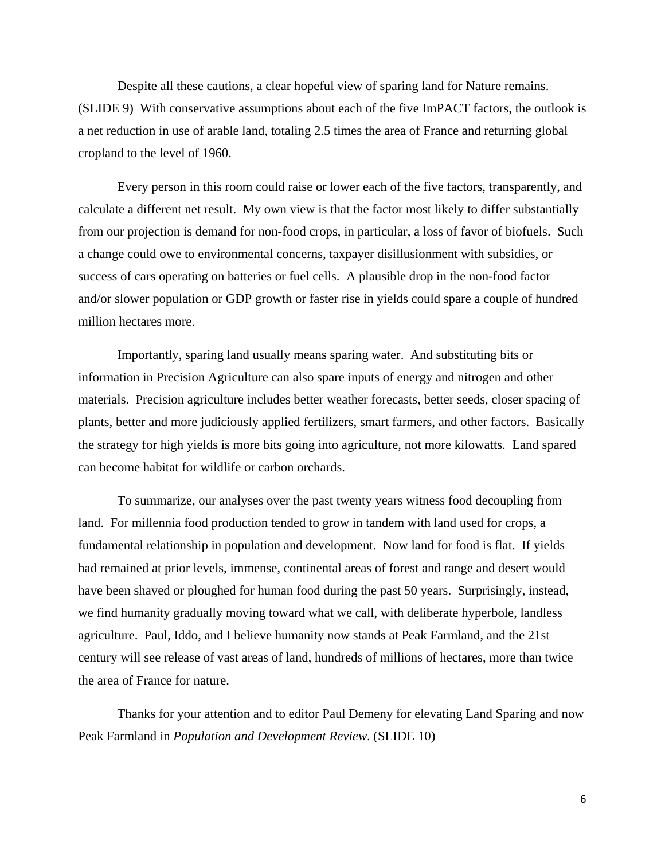Despite all these cautions, a clear hopeful view of sparing land for Nature remains. (SLIDE 9) With conservative assumptions about each of the five ImPACT factors, the outlook is a net reduction in use of arable land, totaling 2.5 times the area of France and returning global cropland to the level of 1960.

Every person in this room could raise or lower each of the five factors, transparently, and calculate a different net result. My own view is that the factor most likely to differ substantially from our projection is demand for non-food crops, in particular, a loss of favor of biofuels. Such a change could owe to environmental concerns, taxpayer disillusionment with subsidies, or success of cars operating on batteries or fuel cells. A plausible drop in the non-food factor and/or slower population or GDP growth or faster rise in yields could spare a couple of hundred million hectares more.

Importantly, sparing land usually means sparing water. And substituting bits or information in Precision Agriculture can also spare inputs of energy and nitrogen and other materials. Precision agriculture includes better weather forecasts, better seeds, closer spacing of plants, better and more judiciously applied fertilizers, smart farmers, and other factors. Basically the strategy for high yields is more bits going into agriculture, not more kilowatts. Land spared can become habitat for wildlife or carbon orchards.

To summarize, our analyses over the past twenty years witness food decoupling from land. For millennia food production tended to grow in tandem with land used for crops, a fundamental relationship in population and development. Now land for food is flat. If yields had remained at prior levels, immense, continental areas of forest and range and desert would have been shaved or ploughed for human food during the past 50 years. Surprisingly, instead, we find humanity gradually moving toward what we call, with deliberate hyperbole, landless agriculture. Paul, Iddo, and I believe humanity now stands at Peak Farmland, and the 21st century will see release of vast areas of land, hundreds of millions of hectares, more than twice the area of France for nature.

 Thanks for your attention and to editor Paul Demeny for elevating Land Sparing and now Peak Farmland in *Population and Development Review*. (SLIDE 10)

6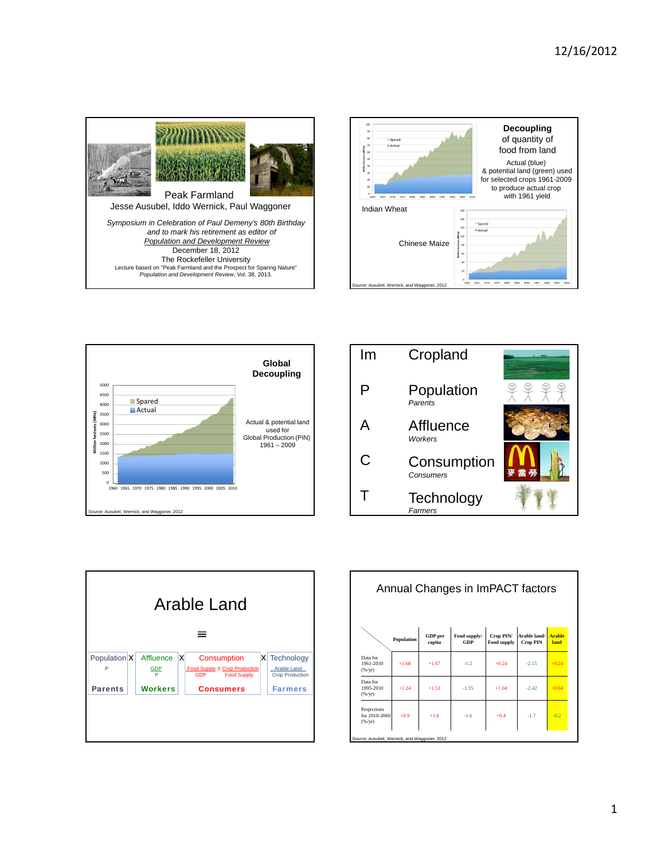









| Annual Changes in ImPACT factors            |            |                          |                     |                                 |                                 |                       |  |  |  |  |
|---------------------------------------------|------------|--------------------------|---------------------|---------------------------------|---------------------------------|-----------------------|--|--|--|--|
|                                             | Population | <b>GDP</b> per<br>capita | Food supply/<br>GDP | Crop PIN/<br><b>Food supply</b> | Arable land/<br><b>Crop PIN</b> | <b>Arable</b><br>land |  |  |  |  |
| Data for<br>1961-2010<br>(%/yr)             | $+1.68$    | $+1.67$                  | $-1.2$              | $+0.24$                         | $-2.15$                         | $+0.24$               |  |  |  |  |
| Data for<br>1995-2010<br>(%/yr)             | $+1.24$    | $+1.53$                  | $-1.35$             | $+1.04$                         | $-2.42$                         | $+0.04$               |  |  |  |  |
| Projections<br>for 2010-2060<br>(%/yr)      | $+0.9$     | $+1.8$                   | $-1.6$              | $+0.4$                          | $-1.7$                          | $-0.2$                |  |  |  |  |
| Source: Ausubel, Wemick, and Waggoner, 2012 |            |                          |                     |                                 |                                 |                       |  |  |  |  |